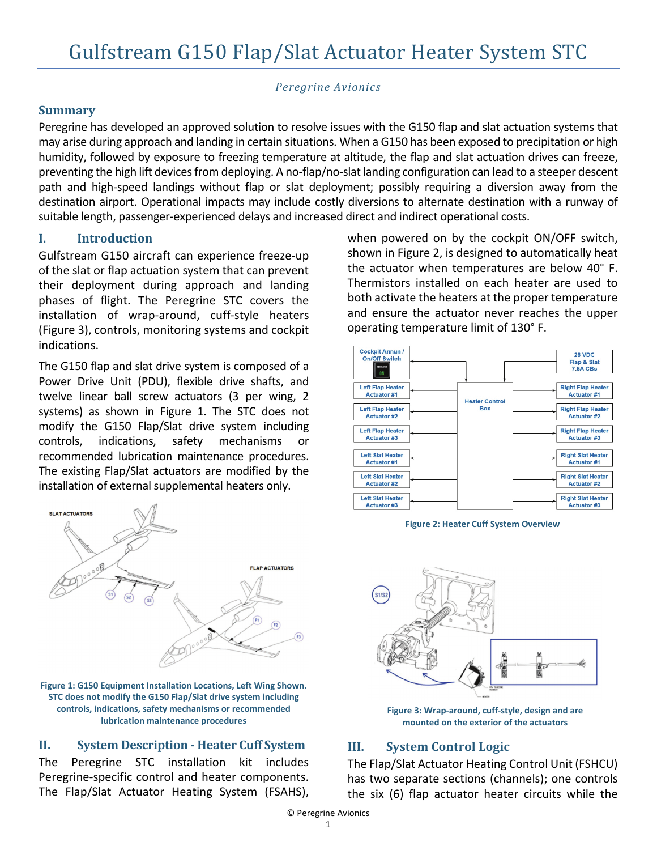### *Peregrine Avionics*

### **Summary**

Peregrine has developed an approved solution to resolve issues with the G150 flap and slat actuation systems that may arise during approach and landing in certain situations. When a G150 has been exposed to precipitation or high humidity, followed by exposure to freezing temperature at altitude, the flap and slat actuation drives can freeze, preventing the high lift devices from deploying. A no‐flap/no‐slat landing configuration can lead to a steeper descent path and high‐speed landings without flap or slat deployment; possibly requiring a diversion away from the destination airport. Operational impacts may include costly diversions to alternate destination with a runway of suitable length, passenger‐experienced delays and increased direct and indirect operational costs.

### **I. Introduction**

Gulfstream G150 aircraft can experience freeze‐up of the slat or flap actuation system that can prevent their deployment during approach and landing phases of flight. The Peregrine STC covers the installation of wrap-around, cuff-style heaters (Figure 3), controls, monitoring systems and cockpit indications.

The G150 flap and slat drive system is composed of a Power Drive Unit (PDU), flexible drive shafts, and twelve linear ball screw actuators (3 per wing, 2 systems) as shown in Figure 1. The STC does not modify the G150 Flap/Slat drive system including controls, indications, safety mechanisms or recommended lubrication maintenance procedures. The existing Flap/Slat actuators are modified by the installation of external supplemental heaters only.



**Figure 1: G150 Equipment Installation Locations, Left Wing Shown. STC does not modify the G150 Flap/Slat drive system including controls, indications, safety mechanisms or recommended lubrication maintenance procedures** 

## **II. System Description ‐ Heater Cuff System**

The Peregrine STC installation kit includes Peregrine‐specific control and heater components. The Flap/Slat Actuator Heating System (FSAHS), when powered on by the cockpit ON/OFF switch, shown in Figure 2, is designed to automatically heat the actuator when temperatures are below 40° F. Thermistors installed on each heater are used to both activate the heaters at the proper temperature and ensure the actuator never reaches the upper operating temperature limit of 130° F.



**Figure 2: Heater Cuff System Overview** 



**Figure 3: Wrap‐around, cuff‐style, design and are mounted on the exterior of the actuators**

# **III. System Control Logic**

The Flap/Slat Actuator Heating Control Unit (FSHCU) has two separate sections (channels); one controls the six (6) flap actuator heater circuits while the